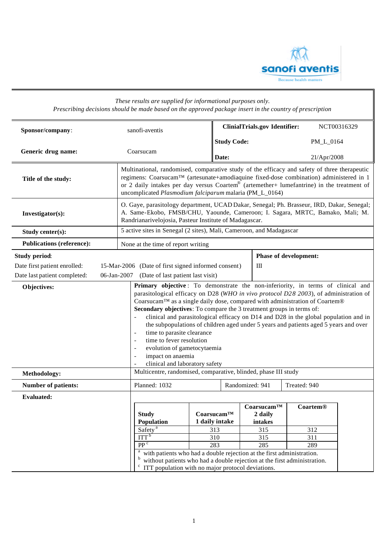

|                                  | These results are supplied for informational purposes only.<br>Prescribing decisions should be made based on the approved package insert in the country of prescription                                                                                                                                  |                                                                                                                                                                                                                                                                                     |                                                                               |                                                                                                                                                                                                                                                                                                                                                                                                                                         |
|----------------------------------|----------------------------------------------------------------------------------------------------------------------------------------------------------------------------------------------------------------------------------------------------------------------------------------------------------|-------------------------------------------------------------------------------------------------------------------------------------------------------------------------------------------------------------------------------------------------------------------------------------|-------------------------------------------------------------------------------|-----------------------------------------------------------------------------------------------------------------------------------------------------------------------------------------------------------------------------------------------------------------------------------------------------------------------------------------------------------------------------------------------------------------------------------------|
| Sponsor/company:                 | sanofi-aventis                                                                                                                                                                                                                                                                                           |                                                                                                                                                                                                                                                                                     | <b>ClinialTrials.gov Identifier:</b>                                          | NCT00316329                                                                                                                                                                                                                                                                                                                                                                                                                             |
|                                  |                                                                                                                                                                                                                                                                                                          | <b>Study Code:</b>                                                                                                                                                                                                                                                                  |                                                                               | PM_L_0164                                                                                                                                                                                                                                                                                                                                                                                                                               |
| Generic drug name:               | Coarsucam                                                                                                                                                                                                                                                                                                | Date:                                                                                                                                                                                                                                                                               |                                                                               | 21/Apr/2008                                                                                                                                                                                                                                                                                                                                                                                                                             |
| Title of the study:              | uncomplicated Plasmodium falciparum malaria (PM_L_0164)                                                                                                                                                                                                                                                  |                                                                                                                                                                                                                                                                                     |                                                                               | Multinational, randomised, comparative study of the efficacy and safety of three therapeutic<br>regimens: Coarsucam <sup>TM</sup> (artesunate+amodiaquine fixed-dose combination) administered in 1<br>or 2 daily intakes per day versus Coartem® (artemether+ lumefantrine) in the treatment of                                                                                                                                        |
| Investigator(s):                 | Randrianarivelojosia, Pasteur Institute of Madagascar.                                                                                                                                                                                                                                                   |                                                                                                                                                                                                                                                                                     |                                                                               | O. Gaye, parasitology department, UCAD Dakar, Senegal; Ph. Brasseur, IRD, Dakar, Senegal;<br>A. Same-Ekobo, FMSB/CHU, Yaounde, Cameroon; I. Sagara, MRTC, Bamako, Mali; M.                                                                                                                                                                                                                                                              |
| Study center(s):                 | 5 active sites in Senegal (2 sites), Mali, Cameroon, and Madagascar                                                                                                                                                                                                                                      |                                                                                                                                                                                                                                                                                     |                                                                               |                                                                                                                                                                                                                                                                                                                                                                                                                                         |
| <b>Publications (reference):</b> | None at the time of report writing                                                                                                                                                                                                                                                                       |                                                                                                                                                                                                                                                                                     |                                                                               |                                                                                                                                                                                                                                                                                                                                                                                                                                         |
| <b>Study period:</b>             |                                                                                                                                                                                                                                                                                                          |                                                                                                                                                                                                                                                                                     |                                                                               | Phase of development:                                                                                                                                                                                                                                                                                                                                                                                                                   |
| Date first patient enrolled:     | 15-Mar-2006 (Date of first signed informed consent)                                                                                                                                                                                                                                                      |                                                                                                                                                                                                                                                                                     | $\mathbf{I}$                                                                  |                                                                                                                                                                                                                                                                                                                                                                                                                                         |
| Date last patient completed:     | (Date of last patient last visit)<br>06-Jan-2007                                                                                                                                                                                                                                                         |                                                                                                                                                                                                                                                                                     |                                                                               |                                                                                                                                                                                                                                                                                                                                                                                                                                         |
| Objectives:                      | Secondary objectives: To compare the 3 treatment groups in terms of:<br>time to parasite clearance<br>$\overline{\phantom{a}}$<br>time to fever resolution<br>$\overline{\phantom{a}}$<br>evolution of gametocytaemia<br>$\overline{\phantom{a}}$<br>impact on anaemia<br>clinical and laboratory safety |                                                                                                                                                                                                                                                                                     |                                                                               | Primary objective: To demonstrate the non-inferiority, in terms of clinical and<br>parasitological efficacy on D28 (WHO in vivo protocol D28 2003), of administration of<br>Coarsucam™ as a single daily dose, compared with administration of Coartem®<br>clinical and parasitological efficacy on D14 and D28 in the global population and in<br>the subpopulations of children aged under 5 years and patients aged 5 years and over |
| Methodology:                     | Multicentre, randomised, comparative, blinded, phase III study                                                                                                                                                                                                                                           |                                                                                                                                                                                                                                                                                     |                                                                               |                                                                                                                                                                                                                                                                                                                                                                                                                                         |
| <b>Number of patients:</b>       | Planned: 1032                                                                                                                                                                                                                                                                                            |                                                                                                                                                                                                                                                                                     | Randomized: 941                                                               | Treated: 940                                                                                                                                                                                                                                                                                                                                                                                                                            |
| <b>Evaluated:</b>                | <b>Study</b><br>Population<br>$S$ afety <sup>a</sup><br>ITT <sup>b</sup><br>PP <sup>c</sup>                                                                                                                                                                                                              | $\mathrm{Coarsucam}^{\mathrm{TM}}$<br>1 daily intake<br>313<br>310<br>283<br>with patients who had a double rejection at the first administration.<br>without patients who had a double rejection at the first administration.<br>ITT population with no major protocol deviations. | $\mathrm{Coarsucam}^{\mathrm{TM}}$<br>2 daily<br>intakes<br>315<br>315<br>285 | Coartem®<br>312<br>311<br>289                                                                                                                                                                                                                                                                                                                                                                                                           |

## *These results are supplied for informational purposes only.*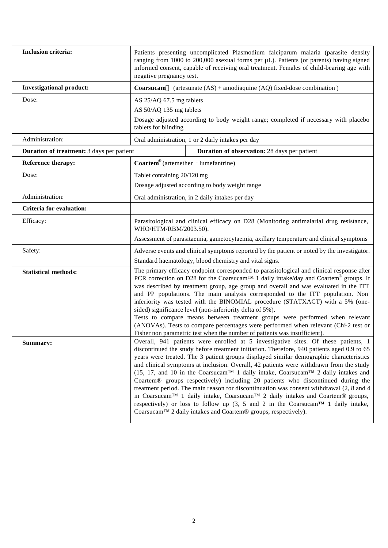| <b>Inclusion criteria:</b>                       | Patients presenting uncomplicated Plasmodium falciparum malaria (parasite density<br>ranging from 1000 to 200,000 asexual forms per $\mu$ L). Patients (or parents) having signed<br>informed consent, capable of receiving oral treatment. Females of child-bearing age with<br>negative pregnancy test. |                                                                                                                                                                                                                                                                                                                                                                                                                                                                                                                                                                                                                                                                                                                                                                                                                                                                                                                                                                                                           |  |  |
|--------------------------------------------------|-----------------------------------------------------------------------------------------------------------------------------------------------------------------------------------------------------------------------------------------------------------------------------------------------------------|-----------------------------------------------------------------------------------------------------------------------------------------------------------------------------------------------------------------------------------------------------------------------------------------------------------------------------------------------------------------------------------------------------------------------------------------------------------------------------------------------------------------------------------------------------------------------------------------------------------------------------------------------------------------------------------------------------------------------------------------------------------------------------------------------------------------------------------------------------------------------------------------------------------------------------------------------------------------------------------------------------------|--|--|
| <b>Investigational product:</b>                  | <b>Coarsucam</b> <sup>™</sup> (artesunate $(AS)$ + amodiaquine $(AQ)$ fixed-dose combination)                                                                                                                                                                                                             |                                                                                                                                                                                                                                                                                                                                                                                                                                                                                                                                                                                                                                                                                                                                                                                                                                                                                                                                                                                                           |  |  |
| Dose:                                            | AS 25/AQ 67.5 mg tablets<br>AS 50/AQ 135 mg tablets<br>Dosage adjusted according to body weight range; completed if necessary with placebo<br>tablets for blinding                                                                                                                                        |                                                                                                                                                                                                                                                                                                                                                                                                                                                                                                                                                                                                                                                                                                                                                                                                                                                                                                                                                                                                           |  |  |
| Administration:                                  | Oral administration, 1 or 2 daily intakes per day                                                                                                                                                                                                                                                         |                                                                                                                                                                                                                                                                                                                                                                                                                                                                                                                                                                                                                                                                                                                                                                                                                                                                                                                                                                                                           |  |  |
| <b>Duration of treatment:</b> 3 days per patient |                                                                                                                                                                                                                                                                                                           | Duration of observation: 28 days per patient                                                                                                                                                                                                                                                                                                                                                                                                                                                                                                                                                                                                                                                                                                                                                                                                                                                                                                                                                              |  |  |
| <b>Reference therapy:</b>                        | <b>Coartem</b> <sup>®</sup> (artemether + lumefantrine)                                                                                                                                                                                                                                                   |                                                                                                                                                                                                                                                                                                                                                                                                                                                                                                                                                                                                                                                                                                                                                                                                                                                                                                                                                                                                           |  |  |
| Dose:                                            |                                                                                                                                                                                                                                                                                                           | Tablet containing 20/120 mg<br>Dosage adjusted according to body weight range                                                                                                                                                                                                                                                                                                                                                                                                                                                                                                                                                                                                                                                                                                                                                                                                                                                                                                                             |  |  |
| Administration:                                  | Oral administration, in 2 daily intakes per day                                                                                                                                                                                                                                                           |                                                                                                                                                                                                                                                                                                                                                                                                                                                                                                                                                                                                                                                                                                                                                                                                                                                                                                                                                                                                           |  |  |
| <b>Criteria for evaluation:</b>                  |                                                                                                                                                                                                                                                                                                           |                                                                                                                                                                                                                                                                                                                                                                                                                                                                                                                                                                                                                                                                                                                                                                                                                                                                                                                                                                                                           |  |  |
| Efficacy:                                        | WHO/HTM/RBM/2003.50).                                                                                                                                                                                                                                                                                     | Parasitological and clinical efficacy on D28 (Monitoring antimalarial drug resistance,<br>Assessment of parasitaemia, gametocytaemia, axillary temperature and clinical symptoms                                                                                                                                                                                                                                                                                                                                                                                                                                                                                                                                                                                                                                                                                                                                                                                                                          |  |  |
| Safety:                                          |                                                                                                                                                                                                                                                                                                           | Adverse events and clinical symptoms reported by the patient or noted by the investigator.<br>Standard haematology, blood chemistry and vital signs.                                                                                                                                                                                                                                                                                                                                                                                                                                                                                                                                                                                                                                                                                                                                                                                                                                                      |  |  |
| <b>Statistical methods:</b>                      |                                                                                                                                                                                                                                                                                                           | The primary efficacy endpoint corresponded to parasitological and clinical response after<br>PCR correction on D28 for the Coarsucam <sup>TM</sup> 1 daily intake/day and Coartem® groups. It<br>was described by treatment group, age group and overall and was evaluated in the ITT<br>and PP populations. The main analysis corresponded to the ITT population. Non<br>inferiority was tested with the BINOMIAL procedure (STATXACT) with a 5% (one-<br>sided) significance level (non-inferiority delta of 5%).<br>Tests to compare means between treatment groups were performed when relevant<br>(ANOVAs). Tests to compare percentages were performed when relevant (Chi-2 test or<br>Fisher non parametric test when the number of patients was insufficient).                                                                                                                                                                                                                                    |  |  |
| Summary:                                         |                                                                                                                                                                                                                                                                                                           | Overall, 941 patients were enrolled at 5 investigative sites. Of these patients, 1<br>discontinued the study before treatment initiation. Therefore, 940 patients aged 0.9 to 65<br>years were treated. The 3 patient groups displayed similar demographic characteristics<br>and clinical symptoms at inclusion. Overall, 42 patients were withdrawn from the study<br>$(15, 17, \text{ and } 10 \text{ in the Coarsucam}^{\text{TM}} 1 \text{ daily intake}, \text{Coarsucam}^{\text{TM}} 2 \text{ daily intake} \text{ and }$<br>Coartem® groups respectively) including 20 patients who discontinued during the<br>treatment period. The main reason for discontinuation was consent withdrawal (2, 8 and 4<br>in Coarsucam <sup>TM</sup> 1 daily intake, Coarsucam <sup>TM</sup> 2 daily intakes and Coartem <sup>®</sup> groups,<br>respectively) or loss to follow up (3, 5 and 2 in the Coarsucam <sup>TM</sup> 1 daily intake,<br>Coarsucam™ 2 daily intakes and Coartem® groups, respectively). |  |  |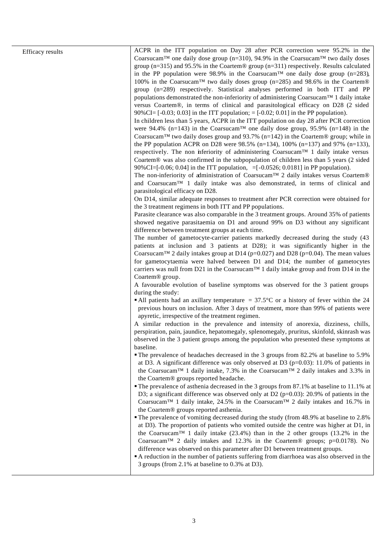| <b>Efficacy results</b> |  |
|-------------------------|--|
|-------------------------|--|

ACPR in the ITT population on Day 28 after PCR correction were 95.2% in the Coarsucam™ one daily dose group (n=310), 94.9% in the Coarsucam™ two daily doses group (n=315) and 95.5% in the Coartem® group (n=311) respectively. Results calculated in the PP population were 98.9% in the Coarsucam™ one daily dose group (n=283), 100% in the Coarsucam™ two daily doses group (n=285) and 98.6% in the Coartem® group (n=289) respectively. Statistical analyses performed in both ITT and PP populations demonstrated the non-inferiority of administering Coarsucam™ 1 daily intake versus Coartem®, in terms of clinical and parasitological efficacy on D28 (2 sided 90%CI=  $[-0.03; 0.03]$  in the ITT population; =  $[-0.02; 0.01]$  in the PP population).

In children less than 5 years, ACPR in the ITT population on day 28 after PCR correction were 94.4% (n=143) in the Coarsucam<sup>™</sup> one daily dose group, 95.9% (n=148) in the Coarsucam<sup>™</sup> two daily doses group and 93.7% (n=142) in the Coartem® group; while in the PP population ACPR on D28 were 98.5% (n=134), 100% (n=137) and 97% (n=133), respectively. The non inferiority of administering Coarsucam™ 1 daily intake versus Coartem® was also confirmed in the subpopulation of children less than 5 years (2 sided 90%CI= $[-0.06; 0.04]$  in the ITT population, = $[-0.0526; 0.0181]$  in PP population).

The non-inferiority of administration of Coarsucam™ 2 daily intakes versus Coartem® and Coarsucam™ 1 daily intake was also demonstrated, in terms of clinical and parasitological efficacy on D28.

On D14, similar adequate responses to treatment after PCR correction were obtained for the 3 treatment regimens in both ITT and PP populations.

Parasite clearance was also comparable in the 3 treatment groups. Around 35% of patients showed negative parasitaemia on D1 and around 99% on D3 without any significant difference between treatment groups at each time.

The number of gametocyte-carrier patients markedly decreased during the study (43 patients at inclusion and 3 patients at D28); it was significantly higher in the Coarsucam™ 2 daily intakes group at D14 ( $p=0.027$ ) and D28 ( $p=0.04$ ). The mean values for gametocytaemia were halved between D1 and D14; the number of gametocytes carriers was null from D21 in the Coarsucam™ 1 daily intake group and from D14 in the Coartem® group.

A favourable evolution of baseline symptoms was observed for the 3 patient groups during the study:

All patients had an axillary temperature =  $37.5^{\circ}$ C or a history of fever within the 24 previous hours on inclusion. After 3 days of treatment, more than 99% of patients were apyretic, irrespective of the treatment regimen.

A similar reduction in the prevalence and intensity of anorexia, dizziness, chills, perspiration, pain, jaundice, hepatomegaly, splenomegaly, pruritus, skinfold, skinrash was observed in the 3 patient groups among the population who presented these symptoms at baseline.

- ß The prevalence of headaches decreased in the 3 groups from 82.2% at baseline to 5.9% at D3. A significant difference was only observed at D3 ( $p=0.03$ ): 11.0% of patients in the Coarsucam<sup>™</sup> 1 daily intake, 7.3% in the Coarsucam<sup>™</sup> 2 daily intakes and 3.3% in the Coartem® groups reported headache.
- ß The prevalence of asthenia decreased in the 3 groups from 87.1% at baseline to 11.1% at D3; a significant difference was observed only at D2 ( $p=0.03$ ): 20.9% of patients in the Coarsucam™ 1 daily intake, 24.5% in the Coarsucam™ 2 daily intakes and 16.7% in the Coartem® groups reported asthenia.
- ß The prevalence of vomiting decreased during the study (from 48.9% at baseline to 2.8% at D3). The proportion of patients who vomited outside the centre was higher at D1, in the Coarsucam<sup>™</sup> 1 daily intake (23.4%) than in the 2 other groups (13.2% in the Coarsucam<sup>TM</sup> 2 daily intakes and 12.3% in the Coartem® groups;  $p=0.0178$ ). No difference was observed on this parameter after D1 between treatment groups.
- ß A reduction in the number of patients suffering from diarrhoea was also observed in the 3 groups (from 2.1% at baseline to 0.3% at D3).